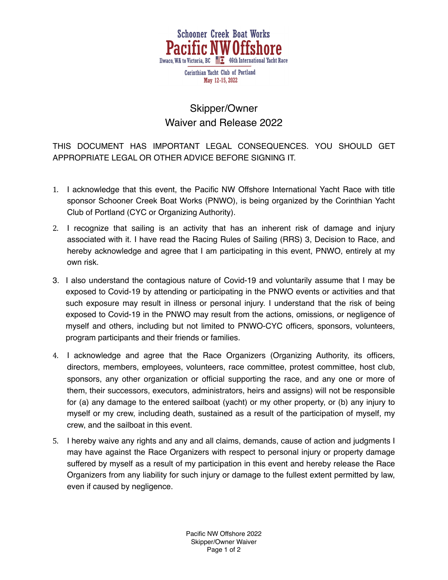

## Skipper/Owner Waiver and Release 2022

THIS DOCUMENT HAS IMPORTANT LEGAL CONSEQUENCES. YOU SHOULD GET APPROPRIATE LEGAL OR OTHER ADVICE BEFORE SIGNING IT.

- 1. I acknowledge that this event, the Pacific NW Offshore International Yacht Race with title sponsor Schooner Creek Boat Works (PNWO), is being organized by the Corinthian Yacht Club of Portland (CYC or Organizing Authority).
- 2. I recognize that sailing is an activity that has an inherent risk of damage and injury associated with it. I have read the Racing Rules of Sailing (RRS) 3, Decision to Race, and hereby acknowledge and agree that I am participating in this event, PNWO, entirely at my own risk.
- 3. I also understand the contagious nature of Covid-19 and voluntarily assume that I may be exposed to Covid-19 by attending or participating in the PNWO events or activities and that such exposure may result in illness or personal injury. I understand that the risk of being exposed to Covid-19 in the PNWO may result from the actions, omissions, or negligence of myself and others, including but not limited to PNWO-CYC officers, sponsors, volunteers, program participants and their friends or families.
- 4. I acknowledge and agree that the Race Organizers (Organizing Authority, its officers, directors, members, employees, volunteers, race committee, protest committee, host club, sponsors, any other organization or official supporting the race, and any one or more of them, their successors, executors, administrators, heirs and assigns) will not be responsible for (a) any damage to the entered sailboat (yacht) or my other property, or (b) any injury to myself or my crew, including death, sustained as a result of the participation of myself, my crew, and the sailboat in this event.
- 5. I hereby waive any rights and any and all claims, demands, cause of action and judgments I may have against the Race Organizers with respect to personal injury or property damage suffered by myself as a result of my participation in this event and hereby release the Race Organizers from any liability for such injury or damage to the fullest extent permitted by law, even if caused by negligence.